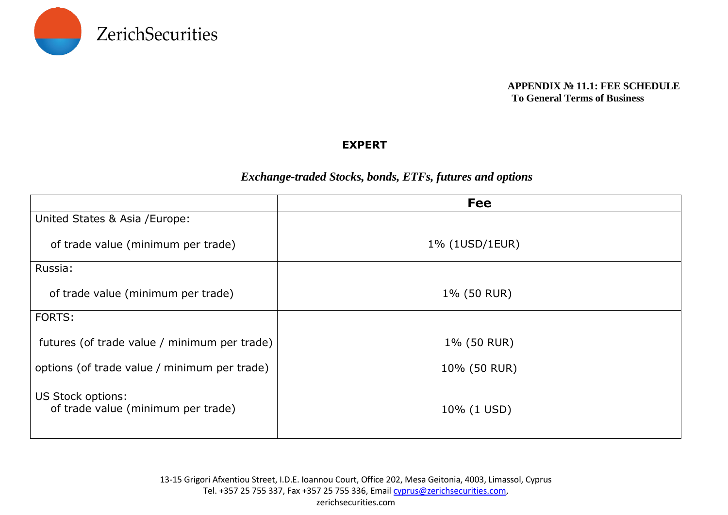

#### **APPENDIX № 11.1: FEE SCHEDULE To General Terms of Business**

### **EXPERT**

## *Exchange-traded Stocks, bonds, ETFs, futures and options*

|                                                         | <b>Fee</b>     |
|---------------------------------------------------------|----------------|
| United States & Asia / Europe:                          |                |
| of trade value (minimum per trade)                      | 1% (1USD/1EUR) |
| Russia:                                                 |                |
| of trade value (minimum per trade)                      | 1% (50 RUR)    |
| FORTS:                                                  |                |
| futures (of trade value / minimum per trade)            | 1% (50 RUR)    |
| options (of trade value / minimum per trade)            | 10% (50 RUR)   |
| US Stock options:<br>of trade value (minimum per trade) | 10% (1 USD)    |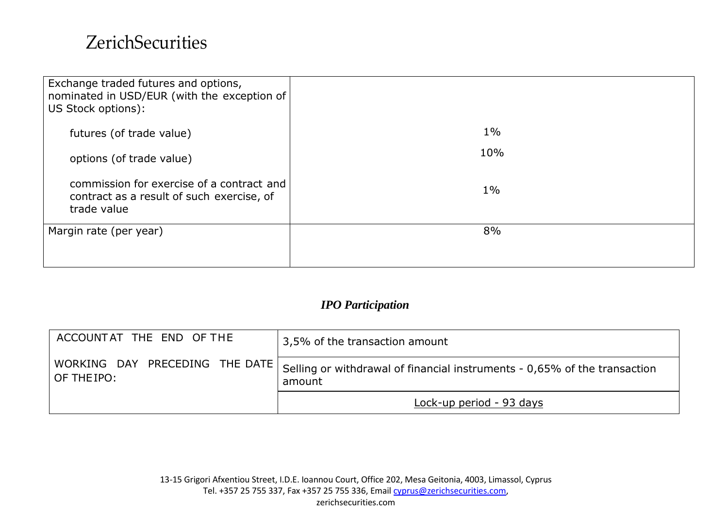# **ZerichSecurities**

| Exchange traded futures and options,<br>nominated in USD/EUR (with the exception of<br>US Stock options): |       |
|-----------------------------------------------------------------------------------------------------------|-------|
| futures (of trade value)                                                                                  | $1\%$ |
| options (of trade value)                                                                                  | 10%   |
| commission for exercise of a contract and<br>contract as a result of such exercise, of<br>trade value     | $1\%$ |
| Margin rate (per year)                                                                                    | 8%    |
|                                                                                                           |       |

## *IPO Participation*

| ACCOUNTAT THE END OF THE                      | 3,5% of the transaction amount                                                      |
|-----------------------------------------------|-------------------------------------------------------------------------------------|
| WORKING DAY PRECEDING THE DATE<br>OF THE IPO: | Gelling or withdrawal of financial instruments - 0,65% of the transaction<br>amount |
|                                               | Lock-up period - 93 days                                                            |

zerichsecurities.com